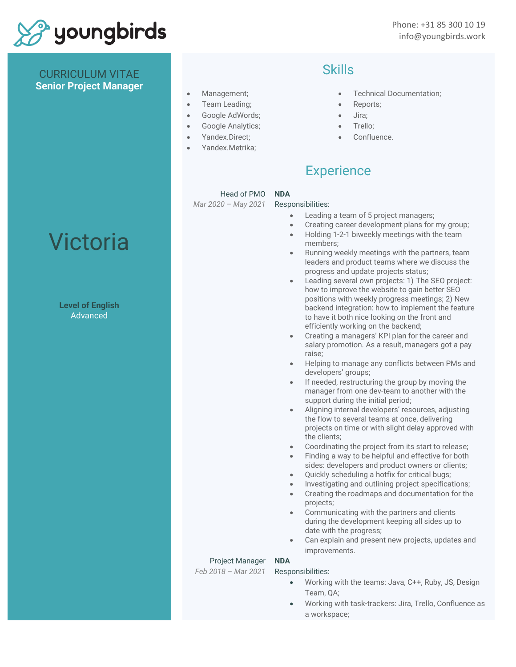

Phone: +31 85 300 10 19 info@youngbirds.work

### CURRICULUM VITAE **Senior Project Manager**

- Management;
- Team Leading;
- Google AdWords;
- Google Analytics;
- Yandex.Direct;
- Yandex.Metrika;

### Skills

- Technical Documentation;
- Reports;
- Jira;
- Trello;
- Confluence.

## **Experience**

### Head of PMO

*Mar 2020 – May 2021*

### Responsibilities:

**NDA**

- Leading a team of 5 project managers;
- Creating career development plans for my group;
- Holding 1-2-1 biweekly meetings with the team members;
- Running weekly meetings with the partners, team leaders and product teams where we discuss the progress and update projects status;
- Leading several own projects: 1) The SEO project: how to improve the website to gain better SEO positions with weekly progress meetings; 2) New backend integration: how to implement the feature to have it both nice looking on the front and efficiently working on the backend;
- Creating a managers' KPI plan for the career and salary promotion. As a result, managers got a pay raise;
- Helping to manage any conflicts between PMs and developers' groups;
- If needed, restructuring the group by moving the manager from one dev-team to another with the support during the initial period;
- Aligning internal developers' resources, adjusting the flow to several teams at once, delivering projects on time or with slight delay approved with the clients;
- Coordinating the project from its start to release;
- Finding a way to be helpful and effective for both sides: developers and product owners or clients;
- Quickly scheduling a hotfix for critical bugs;
- Investigating and outlining project specifications; • Creating the roadmaps and documentation for the
- projects;
- Communicating with the partners and clients during the development keeping all sides up to date with the progress;
- Can explain and present new projects, updates and improvements.

### Project Manager

*Feb 2018 – Mar 2021*

Responsibilities:

**NDA**

- Working with the teams: Java, C++, Ruby, JS, Design Team, QA;
- Working with task-trackers: Jira, Trello, Confluence as a workspace;

## Victoria

**Level of English** Advanced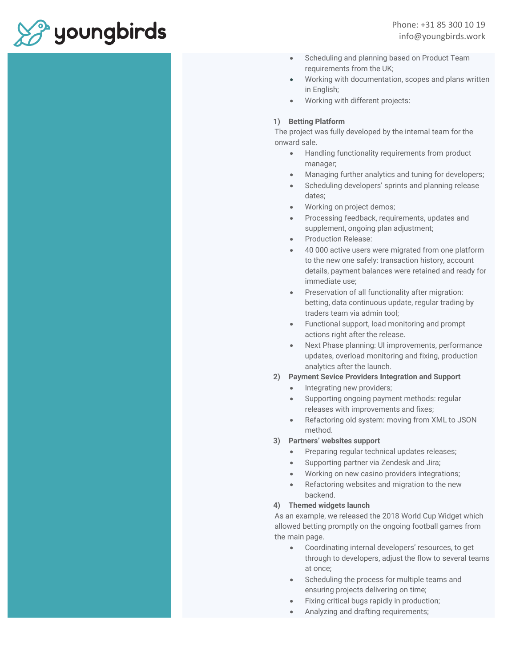# <sup>2</sup> youngbirds

- Scheduling and planning based on Product Team requirements from the UK;
- Working with documentation, scopes and plans written in English;
- Working with different projects:

### **1) Betting Platform**

The project was fully developed by the internal team for the onward sale.

- Handling functionality requirements from product manager;
- Managing further analytics and tuning for developers;
- Scheduling developers' sprints and planning release dates;
- Working on project demos;
- Processing feedback, requirements, updates and supplement, ongoing plan adjustment;
- Production Release:
- 40 000 active users were migrated from one platform to the new one safely: transaction history, account details, payment balances were retained and ready for immediate use;
- Preservation of all functionality after migration: betting, data continuous update, regular trading by traders team via admin tool;
- Functional support, load monitoring and prompt actions right after the release.
- Next Phase planning: UI improvements, performance updates, overload monitoring and fixing, production analytics after the launch.
- **2) Payment Sevice Providers Integration and Support**
	- Integrating new providers;
	- Supporting ongoing payment methods: regular releases with improvements and fixes;
	- Refactoring old system: moving from XML to JSON method.

### **3) Partners' websites support**

- Preparing regular technical updates releases;
- Supporting partner via Zendesk and Jira;
- Working on new casino providers integrations;
- Refactoring websites and migration to the new backend.

### **4) Themed widgets launch**

As an example, we released the 2018 World Cup Widget which allowed betting promptly on the ongoing football games from the main page.

- Coordinating internal developers' resources, to get through to developers, adjust the flow to several teams at once;
- Scheduling the process for multiple teams and ensuring projects delivering on time;
- Fixing critical bugs rapidly in production;
- Analyzing and drafting requirements;